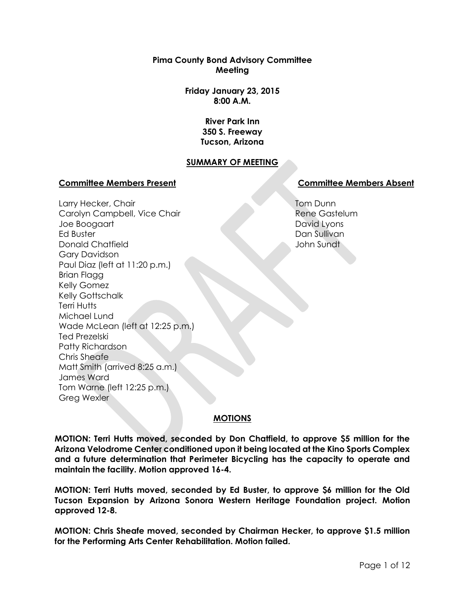**Pima County Bond Advisory Committee Meeting**

> **Friday January 23, 2015 8:00 A.M.**

> > **River Park Inn 350 S. Freeway Tucson, Arizona**

## **SUMMARY OF MEETING**

## **Committee Members Present Committee Members Absent**

Larry Hecker, Chair Carolyn Campbell, Vice Chair Joe Boogaart Ed Buster Donald Chatfield Gary Davidson Paul Diaz (left at 11:20 p.m.) Brian Flagg Kelly Gomez Kelly Gottschalk Terri Hutts Michael Lund Wade McLean (left at 12:25 p.m.) Ted Prezelski Patty Richardson Chris Sheafe Matt Smith (arrived 8:25 a.m.) James Ward Tom Warne (left 12:25 p.m.) Greg Wexler

Tom Dunn Rene Gastelum David Lyons Dan Sullivan John Sundt

## **MOTIONS**

**MOTION: Terri Hutts moved, seconded by Don Chatfield, to approve \$5 million for the Arizona Velodrome Center conditioned upon it being located at the Kino Sports Complex and a future determination that Perimeter Bicycling has the capacity to operate and maintain the facility. Motion approved 16-4.**

**MOTION: Terri Hutts moved, seconded by Ed Buster, to approve \$6 million for the Old Tucson Expansion by Arizona Sonora Western Heritage Foundation project. Motion approved 12-8.**

**MOTION: Chris Sheafe moved, seconded by Chairman Hecker, to approve \$1.5 million for the Performing Arts Center Rehabilitation. Motion failed.**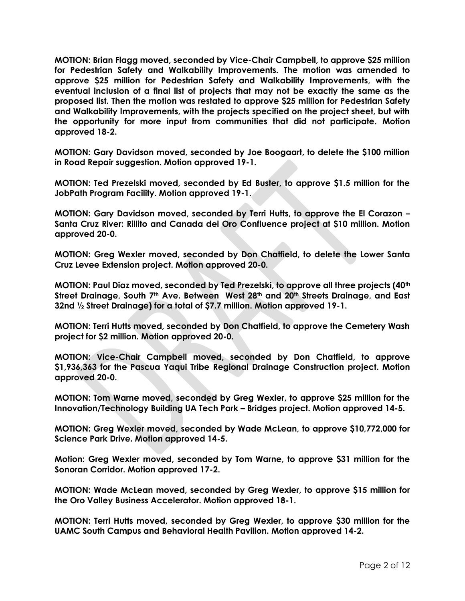**MOTION: Brian Flagg moved, seconded by Vice-Chair Campbell, to approve \$25 million for Pedestrian Safety and Walkability Improvements. The motion was amended to approve \$25 million for Pedestrian Safety and Walkability Improvements, with the eventual inclusion of a final list of projects that may not be exactly the same as the proposed list. Then the motion was restated to approve \$25 million for Pedestrian Safety and Walkability Improvements, with the projects specified on the project sheet, but with the opportunity for more input from communities that did not participate. Motion approved 18-2.**

**MOTION: Gary Davidson moved, seconded by Joe Boogaart, to delete the \$100 million in Road Repair suggestion. Motion approved 19-1.**

**MOTION: Ted Prezelski moved, seconded by Ed Buster, to approve \$1.5 million for the JobPath Program Facility. Motion approved 19-1.**

**MOTION: Gary Davidson moved, seconded by Terri Hutts, to approve the El Corazon – Santa Cruz River: Rillito and Canada del Oro Confluence project at \$10 million. Motion approved 20-0.**

**MOTION: Greg Wexler moved, seconded by Don Chatfield, to delete the Lower Santa Cruz Levee Extension project. Motion approved 20-0.**

**MOTION: Paul Diaz moved, seconded by Ted Prezelski, to approve all three projects (40th Street Drainage, South 7th Ave. Between West 28th and 20th Streets Drainage, and East 32nd ½ Street Drainage) for a total of \$7.7 million. Motion approved 19-1.**

**MOTION: Terri Hutts moved, seconded by Don Chatfield, to approve the Cemetery Wash project for \$2 million. Motion approved 20-0.** 

**MOTION: Vice-Chair Campbell moved, seconded by Don Chatfield, to approve \$1,936,363 for the Pascua Yaqui Tribe Regional Drainage Construction project. Motion approved 20-0.** 

**MOTION: Tom Warne moved, seconded by Greg Wexler, to approve \$25 million for the Innovation/Technology Building UA Tech Park – Bridges project. Motion approved 14-5.** 

**MOTION: Greg Wexler moved, seconded by Wade McLean, to approve \$10,772,000 for Science Park Drive. Motion approved 14-5.**

**Motion: Greg Wexler moved, seconded by Tom Warne, to approve \$31 million for the Sonoran Corridor. Motion approved 17-2.**

**MOTION: Wade McLean moved, seconded by Greg Wexler, to approve \$15 million for the Oro Valley Business Accelerator. Motion approved 18-1.** 

**MOTION: Terri Hutts moved, seconded by Greg Wexler, to approve \$30 million for the UAMC South Campus and Behavioral Health Pavilion. Motion approved 14-2.**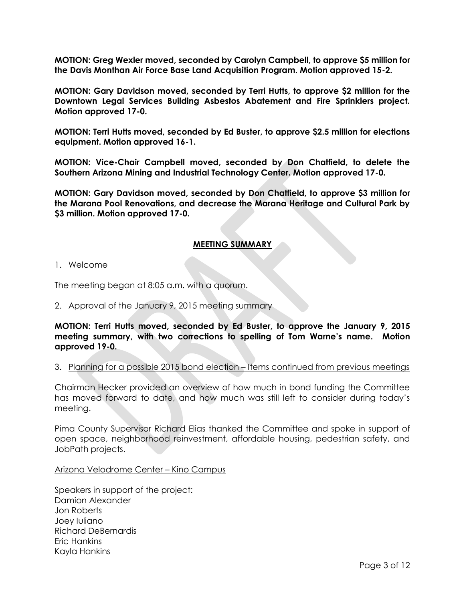**MOTION: Greg Wexler moved, seconded by Carolyn Campbell, to approve \$5 million for the Davis Monthan Air Force Base Land Acquisition Program. Motion approved 15-2.** 

**MOTION: Gary Davidson moved, seconded by Terri Hutts, to approve \$2 million for the Downtown Legal Services Building Asbestos Abatement and Fire Sprinklers project. Motion approved 17-0.**

**MOTION: Terri Hutts moved, seconded by Ed Buster, to approve \$2.5 million for elections equipment. Motion approved 16-1.** 

**MOTION: Vice-Chair Campbell moved, seconded by Don Chatfield, to delete the Southern Arizona Mining and Industrial Technology Center. Motion approved 17-0.** 

**MOTION: Gary Davidson moved, seconded by Don Chatfield, to approve \$3 million for the Marana Pool Renovations, and decrease the Marana Heritage and Cultural Park by \$3 million. Motion approved 17-0.** 

## **MEETING SUMMARY**

## 1. Welcome

The meeting began at 8:05 a.m. with a quorum.

## 2. Approval of the January 9, 2015 meeting summary

**MOTION: Terri Hutts moved, seconded by Ed Buster, to approve the January 9, 2015 meeting summary, with two corrections to spelling of Tom Warne's name. Motion approved 19-0.**

## 3. Planning for a possible 2015 bond election – Items continued from previous meetings

Chairman Hecker provided an overview of how much in bond funding the Committee has moved forward to date, and how much was still left to consider during today's meeting.

Pima County Supervisor Richard Elias thanked the Committee and spoke in support of open space, neighborhood reinvestment, affordable housing, pedestrian safety, and JobPath projects.

### Arizona Velodrome Center – Kino Campus

Speakers in support of the project: Damion Alexander Jon Roberts Joey Iuliano Richard DeBernardis Eric Hankins Kayla Hankins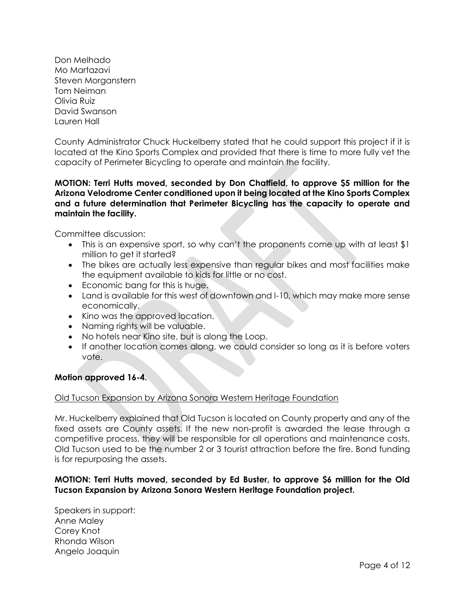Don Melhado Mo Martazavi Steven Morganstern Tom Neiman Olivia Ruiz David Swanson Lauren Hall

County Administrator Chuck Huckelberry stated that he could support this project if it is located at the Kino Sports Complex and provided that there is time to more fully vet the capacity of Perimeter Bicycling to operate and maintain the facility.

# **MOTION: Terri Hutts moved, seconded by Don Chatfield, to approve \$5 million for the Arizona Velodrome Center conditioned upon it being located at the Kino Sports Complex and a future determination that Perimeter Bicycling has the capacity to operate and maintain the facility.**

Committee discussion:

- This is an expensive sport, so why can't the proponents come up with at least \$1 million to get it started?
- The bikes are actually less expensive than regular bikes and most facilities make the equipment available to kids for little or no cost.
- Economic bang for this is huge.
- Land is available for this west of downtown and I-10, which may make more sense economically.
- Kino was the approved location.
- Naming rights will be valuable.
- No hotels near Kino site, but is along the Loop.
- If another location comes along, we could consider so long as it is before voters vote.

## **Motion approved 16-4.**

## Old Tucson Expansion by Arizona Sonora Western Heritage Foundation

Mr. Huckelberry explained that Old Tucson is located on County property and any of the fixed assets are County assets. If the new non-profit is awarded the lease through a competitive process, they will be responsible for all operations and maintenance costs. Old Tucson used to be the number 2 or 3 tourist attraction before the fire. Bond funding is for repurposing the assets.

## **MOTION: Terri Hutts moved, seconded by Ed Buster, to approve \$6 million for the Old Tucson Expansion by Arizona Sonora Western Heritage Foundation project.**

Speakers in support: Anne Maley Corey Knot Rhonda Wilson Angelo Joaquin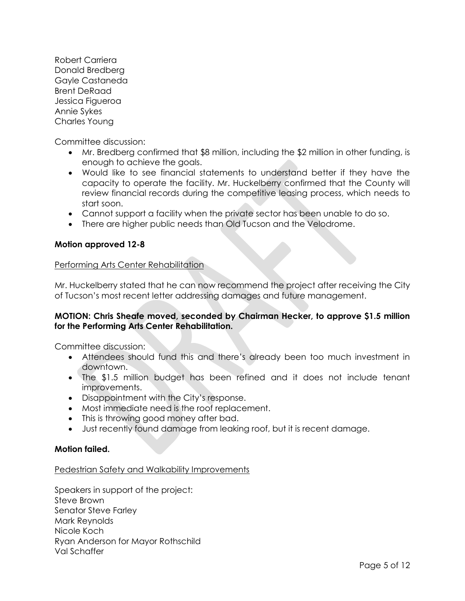Robert Carriera Donald Bredberg Gayle Castaneda Brent DeRaad Jessica Figueroa Annie Sykes Charles Young

Committee discussion:

- Mr. Bredberg confirmed that \$8 million, including the \$2 million in other funding, is enough to achieve the goals.
- Would like to see financial statements to understand better if they have the capacity to operate the facility. Mr. Huckelberry confirmed that the County will review financial records during the competitive leasing process, which needs to start soon.
- Cannot support a facility when the private sector has been unable to do so.
- There are higher public needs than Old Tucson and the Velodrome.

# **Motion approved 12-8**

## Performing Arts Center Rehabilitation

Mr. Huckelberry stated that he can now recommend the project after receiving the City of Tucson's most recent letter addressing damages and future management.

## **MOTION: Chris Sheafe moved, seconded by Chairman Hecker, to approve \$1.5 million for the Performing Arts Center Rehabilitation.**

Committee discussion:

- Attendees should fund this and there's already been too much investment in downtown.
- The \$1.5 million budget has been refined and it does not include tenant improvements.
- Disappointment with the City's response.
- Most immediate need is the roof replacement.
- This is throwing good money after bad.
- Just recently found damage from leaking roof, but it is recent damage.

## **Motion failed.**

## Pedestrian Safety and Walkability Improvements

Speakers in support of the project: Steve Brown Senator Steve Farley Mark Reynolds Nicole Koch Ryan Anderson for Mayor Rothschild Val Schaffer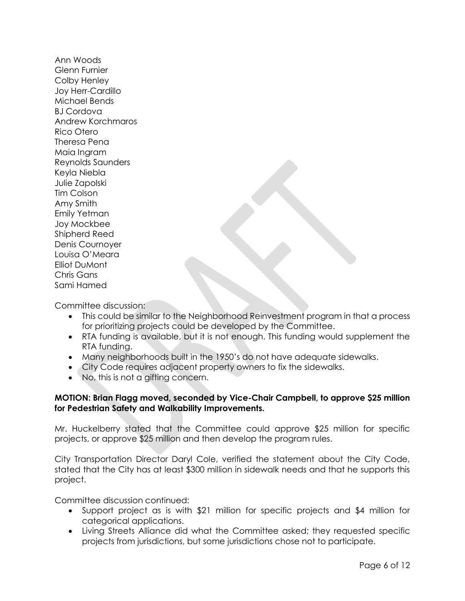Ann Woods Glenn Furnier Colby Henley Joy Herr-Cardillo Michael Bends BJ Cordova Andrew Korchmaros Rico Otero Theresa Pena Maia Ingram Reynolds Saunders Keyla Niebla Julie Zapolski Tim Colson Amy Smith Emily Yetman Joy Mockbee Shipherd Reed Denis Cournoyer Louisa O'Meara Elliot DuMont Chris Gans Sami Hamed

Committee discussion:

- This could be similar to the Neighborhood Reinvestment program in that a process for prioritizing projects could be developed by the Committee.
- RTA funding is available, but it is not enough. This funding would supplement the RTA funding.
- Many neighborhoods built in the 1950's do not have adequate sidewalks.
- City Code requires adjacent property owners to fix the sidewalks.
- No, this is not a gifting concern.

# **MOTION: Brian Flagg moved, seconded by Vice-Chair Campbell, to approve \$25 million for Pedestrian Safety and Walkability Improvements.**

Mr. Huckelberry stated that the Committee could approve \$25 million for specific projects, or approve \$25 million and then develop the program rules.

City Transportation Director Daryl Cole, verified the statement about the City Code, stated that the City has at least \$300 million in sidewalk needs and that he supports this project.

Committee discussion continued:

- Support project as is with \$21 million for specific projects and \$4 million for categorical applications.
- Living Streets Alliance did what the Committee asked; they requested specific projects from jurisdictions, but some jurisdictions chose not to participate.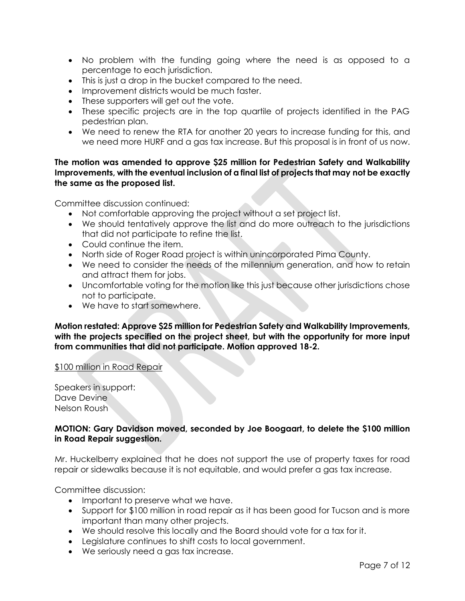- No problem with the funding going where the need is as opposed to a percentage to each jurisdiction.
- This is just a drop in the bucket compared to the need.
- Improvement districts would be much faster.
- These supporters will get out the vote.
- These specific projects are in the top quartile of projects identified in the PAG pedestrian plan.
- We need to renew the RTA for another 20 years to increase funding for this, and we need more HURF and a gas tax increase. But this proposal is in front of us now.

## **The motion was amended to approve \$25 million for Pedestrian Safety and Walkability Improvements, with the eventual inclusion of a final list of projects that may not be exactly the same as the proposed list.**

Committee discussion continued:

- Not comfortable approving the project without a set project list.
- We should tentatively approve the list and do more outreach to the jurisdictions that did not participate to refine the list.
- Could continue the item.
- North side of Roger Road project is within unincorporated Pima County.
- We need to consider the needs of the millennium generation, and how to retain and attract them for jobs.
- Uncomfortable voting for the motion like this just because other jurisdictions chose not to participate.
- We have to start somewhere.

**Motion restated: Approve \$25 million for Pedestrian Safety and Walkability Improvements, with the projects specified on the project sheet, but with the opportunity for more input from communities that did not participate. Motion approved 18-2.**

### \$100 million in Road Repair

Speakers in support: Dave Devine Nelson Roush

# **MOTION: Gary Davidson moved, seconded by Joe Boogaart, to delete the \$100 million in Road Repair suggestion.**

Mr. Huckelberry explained that he does not support the use of property taxes for road repair or sidewalks because it is not equitable, and would prefer a gas tax increase.

Committee discussion:

- Important to preserve what we have.
- Support for \$100 million in road repair as it has been good for Tucson and is more important than many other projects.
- We should resolve this locally and the Board should vote for a tax for it.
- Legislature continues to shift costs to local government.
- We seriously need a gas tax increase.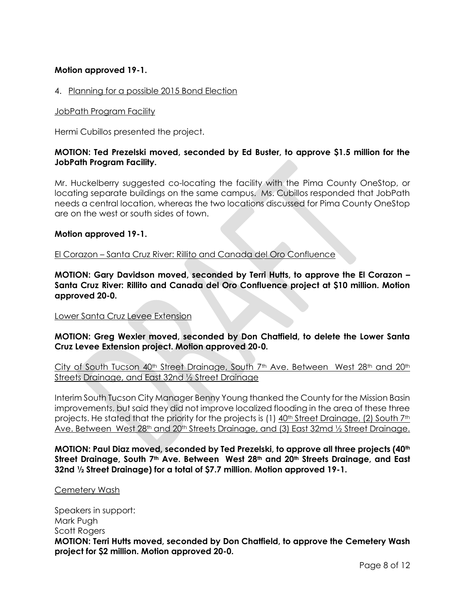# **Motion approved 19-1.**

## 4. Planning for a possible 2015 Bond Election

## JobPath Program Facility

Hermi Cubillos presented the project.

# **MOTION: Ted Prezelski moved, seconded by Ed Buster, to approve \$1.5 million for the JobPath Program Facility.**

Mr. Huckelberry suggested co-locating the facility with the Pima County OneStop, or locating separate buildings on the same campus. Ms. Cubillos responded that JobPath needs a central location, whereas the two locations discussed for Pima County OneStop are on the west or south sides of town.

## **Motion approved 19-1.**

El Corazon – Santa Cruz River: Rillito and Canada del Oro Confluence

**MOTION: Gary Davidson moved, seconded by Terri Hutts, to approve the El Corazon – Santa Cruz River: Rillito and Canada del Oro Confluence project at \$10 million. Motion approved 20-0.**

### Lower Santa Cruz Levee Extension

**MOTION: Greg Wexler moved, seconded by Don Chatfield, to delete the Lower Santa Cruz Levee Extension project. Motion approved 20-0.**

City of South Tucson 40<sup>th</sup> Street Drainage, South 7<sup>th</sup> Ave. Between West 28<sup>th</sup> and 20<sup>th</sup> Streets Drainage, and East 32nd ½ Street Drainage

Interim South Tucson City Manager Benny Young thanked the County for the Mission Basin improvements, but said they did not improve localized flooding in the area of these three projects. He stated that the priority for the projects is (1) 40<sup>th</sup> Street Drainage, (2) South 7<sup>th</sup> Ave. Between West 28<sup>th</sup> and 20<sup>th</sup> Streets Drainage, and (3) East 32md 1/2 Street Drainage.

**MOTION: Paul Diaz moved, seconded by Ted Prezelski, to approve all three projects (40th Street Drainage, South 7th Ave. Between West 28th and 20th Streets Drainage, and East 32nd ½ Street Drainage) for a total of \$7.7 million. Motion approved 19-1.**

### Cemetery Wash

Speakers in support: Mark Pugh Scott Rogers **MOTION: Terri Hutts moved, seconded by Don Chatfield, to approve the Cemetery Wash project for \$2 million. Motion approved 20-0.**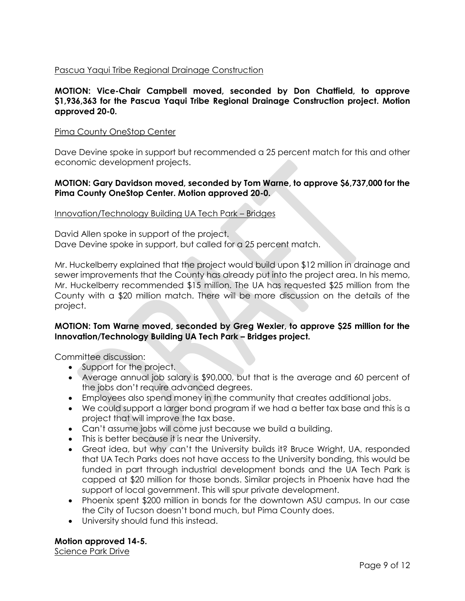# Pascua Yaqui Tribe Regional Drainage Construction

# **MOTION: Vice-Chair Campbell moved, seconded by Don Chatfield, to approve \$1,936,363 for the Pascua Yaqui Tribe Regional Drainage Construction project. Motion approved 20-0.**

## Pima County OneStop Center

Dave Devine spoke in support but recommended a 25 percent match for this and other economic development projects.

# **MOTION: Gary Davidson moved, seconded by Tom Warne, to approve \$6,737,000 for the Pima County OneStop Center. Motion approved 20-0.**

## Innovation/Technology Building UA Tech Park – Bridges

David Allen spoke in support of the project. Dave Devine spoke in support, but called for a 25 percent match.

Mr. Huckelberry explained that the project would build upon \$12 million in drainage and sewer improvements that the County has already put into the project area. In his memo, Mr. Huckelberry recommended \$15 million. The UA has requested \$25 million from the County with a \$20 million match. There will be more discussion on the details of the project.

# **MOTION: Tom Warne moved, seconded by Greg Wexler, to approve \$25 million for the Innovation/Technology Building UA Tech Park – Bridges project.**

Committee discussion:

- Support for the project.
- Average annual job salary is \$90,000, but that is the average and 60 percent of the jobs don't require advanced degrees.
- Employees also spend money in the community that creates additional jobs.
- We could support a larger bond program if we had a better tax base and this is a project that will improve the tax base.
- Can't assume jobs will come just because we build a building.
- This is better because it is near the University.
- Great idea, but why can't the University builds it? Bruce Wright, UA, responded that UA Tech Parks does not have access to the University bonding, this would be funded in part through industrial development bonds and the UA Tech Park is capped at \$20 million for those bonds. Similar projects in Phoenix have had the support of local government. This will spur private development.
- Phoenix spent \$200 million in bonds for the downtown ASU campus. In our case the City of Tucson doesn't bond much, but Pima County does.
- University should fund this instead.

**Motion approved 14-5.** 

Science Park Drive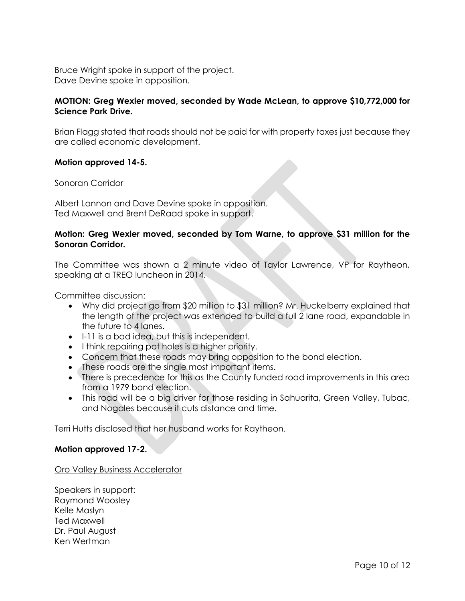Bruce Wright spoke in support of the project. Dave Devine spoke in opposition.

# **MOTION: Greg Wexler moved, seconded by Wade McLean, to approve \$10,772,000 for Science Park Drive.**

Brian Flagg stated that roads should not be paid for with property taxes just because they are called economic development.

## **Motion approved 14-5.**

## Sonoran Corridor

Albert Lannon and Dave Devine spoke in opposition. Ted Maxwell and Brent DeRaad spoke in support.

# **Motion: Greg Wexler moved, seconded by Tom Warne, to approve \$31 million for the Sonoran Corridor.**

The Committee was shown a 2 minute video of Taylor Lawrence, VP for Raytheon, speaking at a TREO luncheon in 2014.

Committee discussion:

- Why did project go from \$20 million to \$31 million? Mr. Huckelberry explained that the length of the project was extended to build a full 2 lane road, expandable in the future to 4 lanes.
- I-11 is a bad idea, but this is independent.
- I think repairing pot holes is a higher priority.
- Concern that these roads may bring opposition to the bond election.
- These roads are the single most important items.
- There is precedence for this as the County funded road improvements in this area from a 1979 bond election.
- This road will be a big driver for those residing in Sahuarita, Green Valley, Tubac, and Nogales because it cuts distance and time.

Terri Hutts disclosed that her husband works for Raytheon.

## **Motion approved 17-2.**

Oro Valley Business Accelerator

Speakers in support: Raymond Woosley Kelle Maslyn Ted Maxwell Dr. Paul August Ken Wertman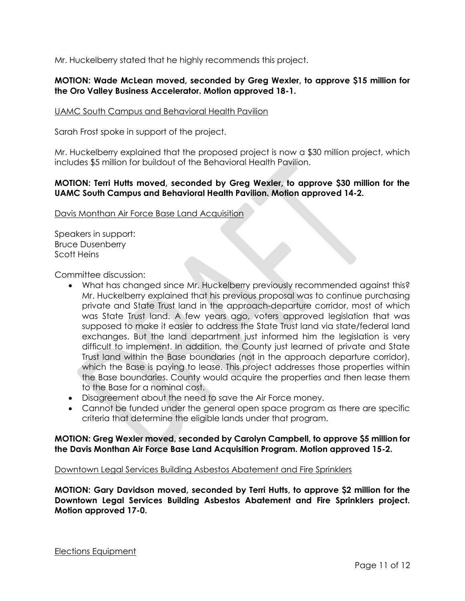Mr. Huckelberry stated that he highly recommends this project.

# **MOTION: Wade McLean moved, seconded by Greg Wexler, to approve \$15 million for the Oro Valley Business Accelerator. Motion approved 18-1.**

## UAMC South Campus and Behavioral Health Pavilion

Sarah Frost spoke in support of the project.

Mr. Huckelberry explained that the proposed project is now a \$30 million project, which includes \$5 million for buildout of the Behavioral Health Pavilion.

# **MOTION: Terri Hutts moved, seconded by Greg Wexler, to approve \$30 million for the UAMC South Campus and Behavioral Health Pavilion. Motion approved 14-2.**

## Davis Monthan Air Force Base Land Acquisition

Speakers in support: Bruce Dusenberry Scott Heins

Committee discussion:

- What has changed since Mr. Huckelberry previously recommended against this? Mr. Huckelberry explained that his previous proposal was to continue purchasing private and State Trust land in the approach-departure corridor, most of which was State Trust land. A few years ago, voters approved legislation that was supposed to make it easier to address the State Trust land via state/federal land exchanges. But the land department just informed him the legislation is very difficult to implement. In addition, the County just learned of private and State Trust land within the Base boundaries (not in the approach departure corridor), which the Base is paying to lease. This project addresses those properties within the Base boundaries. County would acquire the properties and then lease them to the Base for a nominal cost.
- Disagreement about the need to save the Air Force money.
- Cannot be funded under the general open space program as there are specific criteria that determine the eligible lands under that program.

**MOTION: Greg Wexler moved, seconded by Carolyn Campbell, to approve \$5 million for the Davis Monthan Air Force Base Land Acquisition Program. Motion approved 15-2.** 

### Downtown Legal Services Building Asbestos Abatement and Fire Sprinklers

**MOTION: Gary Davidson moved, seconded by Terri Hutts, to approve \$2 million for the Downtown Legal Services Building Asbestos Abatement and Fire Sprinklers project. Motion approved 17-0.**

Elections Equipment